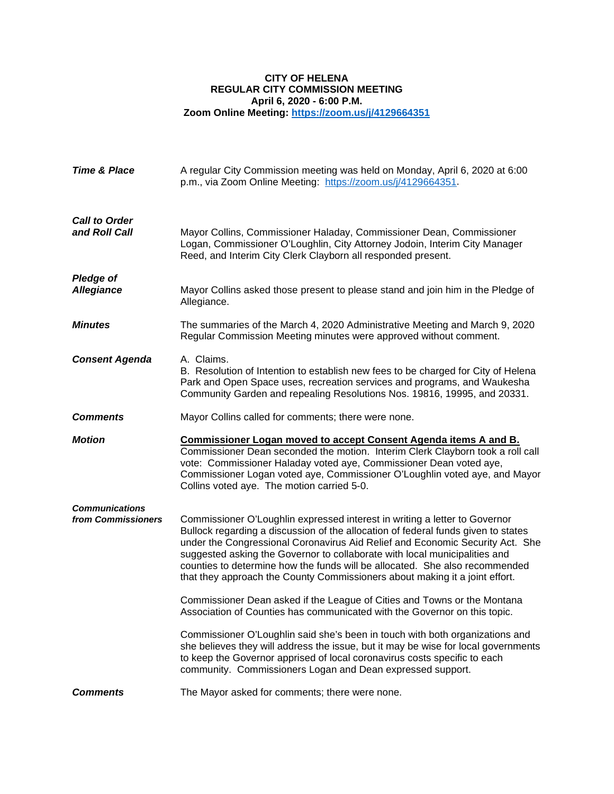## **CITY OF HELENA REGULAR CITY COMMISSION MEETING April 6, 2020 - 6:00 P.M. Zoom Online Meeting:<https://zoom.us/j/4129664351>**

| <b>Time &amp; Place</b>                     | A regular City Commission meeting was held on Monday, April 6, 2020 at 6:00<br>p.m., via Zoom Online Meeting: https://zoom.us/j/4129664351.                                                                                                                                                                                                                                                                                                                                                  |
|---------------------------------------------|----------------------------------------------------------------------------------------------------------------------------------------------------------------------------------------------------------------------------------------------------------------------------------------------------------------------------------------------------------------------------------------------------------------------------------------------------------------------------------------------|
| <b>Call to Order</b><br>and Roll Call       | Mayor Collins, Commissioner Haladay, Commissioner Dean, Commissioner<br>Logan, Commissioner O'Loughlin, City Attorney Jodoin, Interim City Manager<br>Reed, and Interim City Clerk Clayborn all responded present.                                                                                                                                                                                                                                                                           |
| <b>Pledge of</b><br><b>Allegiance</b>       | Mayor Collins asked those present to please stand and join him in the Pledge of<br>Allegiance.                                                                                                                                                                                                                                                                                                                                                                                               |
| <b>Minutes</b>                              | The summaries of the March 4, 2020 Administrative Meeting and March 9, 2020<br>Regular Commission Meeting minutes were approved without comment.                                                                                                                                                                                                                                                                                                                                             |
| <b>Consent Agenda</b>                       | A. Claims.<br>B. Resolution of Intention to establish new fees to be charged for City of Helena<br>Park and Open Space uses, recreation services and programs, and Waukesha<br>Community Garden and repealing Resolutions Nos. 19816, 19995, and 20331.                                                                                                                                                                                                                                      |
| <b>Comments</b>                             | Mayor Collins called for comments; there were none.                                                                                                                                                                                                                                                                                                                                                                                                                                          |
|                                             |                                                                                                                                                                                                                                                                                                                                                                                                                                                                                              |
| <b>Motion</b>                               | <u>Commissioner Logan moved to accept Consent Agenda items A and B.</u><br>Commissioner Dean seconded the motion. Interim Clerk Clayborn took a roll call<br>vote: Commissioner Haladay voted aye, Commissioner Dean voted aye,<br>Commissioner Logan voted aye, Commissioner O'Loughlin voted aye, and Mayor<br>Collins voted aye. The motion carried 5-0.                                                                                                                                  |
| <b>Communications</b><br>from Commissioners | Commissioner O'Loughlin expressed interest in writing a letter to Governor<br>Bullock regarding a discussion of the allocation of federal funds given to states<br>under the Congressional Coronavirus Aid Relief and Economic Security Act. She<br>suggested asking the Governor to collaborate with local municipalities and<br>counties to determine how the funds will be allocated. She also recommended<br>that they approach the County Commissioners about making it a joint effort. |
|                                             | Commissioner Dean asked if the League of Cities and Towns or the Montana<br>Association of Counties has communicated with the Governor on this topic.                                                                                                                                                                                                                                                                                                                                        |
|                                             | Commissioner O'Loughlin said she's been in touch with both organizations and<br>she believes they will address the issue, but it may be wise for local governments<br>to keep the Governor apprised of local coronavirus costs specific to each<br>community. Commissioners Logan and Dean expressed support.                                                                                                                                                                                |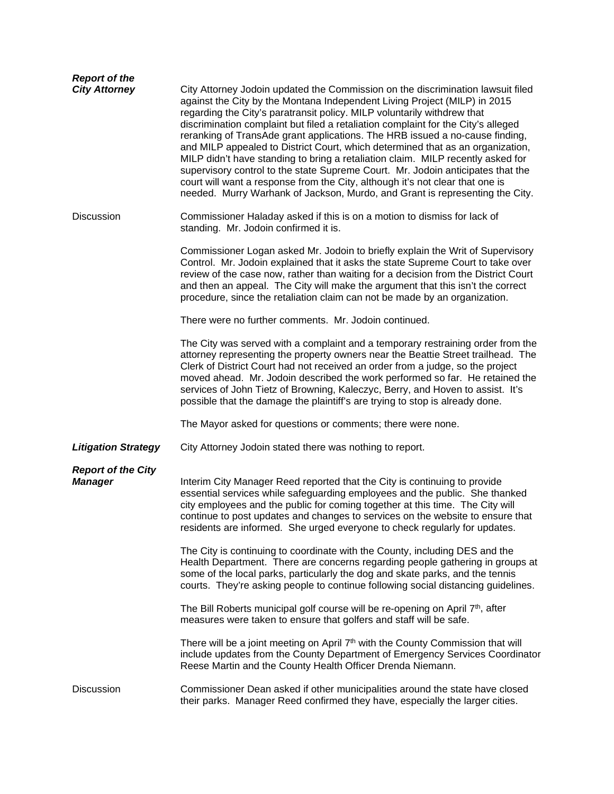| <b>Report of the</b><br><b>City Attorney</b> | City Attorney Jodoin updated the Commission on the discrimination lawsuit filed<br>against the City by the Montana Independent Living Project (MILP) in 2015<br>regarding the City's paratransit policy. MILP voluntarily withdrew that<br>discrimination complaint but filed a retaliation complaint for the City's alleged<br>reranking of TransAde grant applications. The HRB issued a no-cause finding,<br>and MILP appealed to District Court, which determined that as an organization,<br>MILP didn't have standing to bring a retaliation claim. MILP recently asked for<br>supervisory control to the state Supreme Court. Mr. Jodoin anticipates that the<br>court will want a response from the City, although it's not clear that one is<br>needed. Murry Warhank of Jackson, Murdo, and Grant is representing the City. |
|----------------------------------------------|---------------------------------------------------------------------------------------------------------------------------------------------------------------------------------------------------------------------------------------------------------------------------------------------------------------------------------------------------------------------------------------------------------------------------------------------------------------------------------------------------------------------------------------------------------------------------------------------------------------------------------------------------------------------------------------------------------------------------------------------------------------------------------------------------------------------------------------|
| <b>Discussion</b>                            | Commissioner Haladay asked if this is on a motion to dismiss for lack of<br>standing. Mr. Jodoin confirmed it is.                                                                                                                                                                                                                                                                                                                                                                                                                                                                                                                                                                                                                                                                                                                     |
|                                              | Commissioner Logan asked Mr. Jodoin to briefly explain the Writ of Supervisory<br>Control. Mr. Jodoin explained that it asks the state Supreme Court to take over<br>review of the case now, rather than waiting for a decision from the District Court<br>and then an appeal. The City will make the argument that this isn't the correct<br>procedure, since the retaliation claim can not be made by an organization.                                                                                                                                                                                                                                                                                                                                                                                                              |
|                                              | There were no further comments. Mr. Jodoin continued.                                                                                                                                                                                                                                                                                                                                                                                                                                                                                                                                                                                                                                                                                                                                                                                 |
|                                              | The City was served with a complaint and a temporary restraining order from the<br>attorney representing the property owners near the Beattie Street trailhead. The<br>Clerk of District Court had not received an order from a judge, so the project<br>moved ahead. Mr. Jodoin described the work performed so far. He retained the<br>services of John Tietz of Browning, Kaleczyc, Berry, and Hoven to assist. It's<br>possible that the damage the plaintiff's are trying to stop is already done.                                                                                                                                                                                                                                                                                                                               |
|                                              | The Mayor asked for questions or comments; there were none.                                                                                                                                                                                                                                                                                                                                                                                                                                                                                                                                                                                                                                                                                                                                                                           |
| <b>Litigation Strategy</b>                   | City Attorney Jodoin stated there was nothing to report.                                                                                                                                                                                                                                                                                                                                                                                                                                                                                                                                                                                                                                                                                                                                                                              |
| <b>Report of the City</b><br><b>Manager</b>  | Interim City Manager Reed reported that the City is continuing to provide<br>essential services while safeguarding employees and the public. She thanked<br>city employees and the public for coming together at this time. The City will<br>continue to post updates and changes to services on the website to ensure that<br>residents are informed. She urged everyone to check regularly for updates.                                                                                                                                                                                                                                                                                                                                                                                                                             |
|                                              | The City is continuing to coordinate with the County, including DES and the<br>Health Department. There are concerns regarding people gathering in groups at<br>some of the local parks, particularly the dog and skate parks, and the tennis<br>courts. They're asking people to continue following social distancing guidelines.                                                                                                                                                                                                                                                                                                                                                                                                                                                                                                    |
|                                              | The Bill Roberts municipal golf course will be re-opening on April 7 <sup>th</sup> , after<br>measures were taken to ensure that golfers and staff will be safe.                                                                                                                                                                                                                                                                                                                                                                                                                                                                                                                                                                                                                                                                      |
|                                              | There will be a joint meeting on April 7 <sup>th</sup> with the County Commission that will<br>include updates from the County Department of Emergency Services Coordinator<br>Reese Martin and the County Health Officer Drenda Niemann.                                                                                                                                                                                                                                                                                                                                                                                                                                                                                                                                                                                             |
| Discussion                                   | Commissioner Dean asked if other municipalities around the state have closed<br>their parks. Manager Reed confirmed they have, especially the larger cities.                                                                                                                                                                                                                                                                                                                                                                                                                                                                                                                                                                                                                                                                          |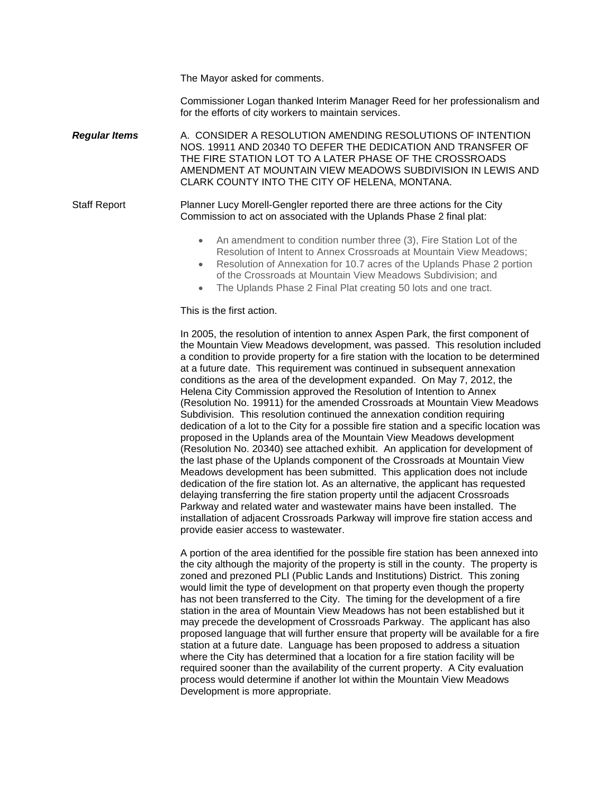The Mayor asked for comments.

Commissioner Logan thanked Interim Manager Reed for her professionalism and for the efforts of city workers to maintain services.

*Regular Items* A. [CONSIDER A RESOLUTION AMENDING RESOLUTIONS OF INTENTION](https://helena.novusagenda.com/agendapublic/CoverSheet.aspx?ItemID=4548&MeetingID=298)  [NOS. 19911 AND 20340 TO DEFER THE DEDICATION AND TRANSFER OF](https://helena.novusagenda.com/agendapublic/CoverSheet.aspx?ItemID=4548&MeetingID=298)  [THE FIRE STATION LOT TO A LATER PHASE OF THE CROSSROADS](https://helena.novusagenda.com/agendapublic/CoverSheet.aspx?ItemID=4548&MeetingID=298)  [AMENDMENT AT MOUNTAIN VIEW MEADOWS SUBDIVISION IN LEWIS AND](https://helena.novusagenda.com/agendapublic/CoverSheet.aspx?ItemID=4548&MeetingID=298)  [CLARK COUNTY INTO THE CITY OF HELENA, MONTANA.](https://helena.novusagenda.com/agendapublic/CoverSheet.aspx?ItemID=4548&MeetingID=298)

Staff Report Planner Lucy Morell-Gengler reported there are three actions for the City Commission to act on associated with the Uplands Phase 2 final plat:

- An amendment to condition number three (3), Fire Station Lot of the Resolution of Intent to Annex Crossroads at Mountain View Meadows;
- Resolution of Annexation for 10.7 acres of the Uplands Phase 2 portion of the Crossroads at Mountain View Meadows Subdivision; and
- The Uplands Phase 2 Final Plat creating 50 lots and one tract.

## This is the first action.

In 2005, the resolution of intention to annex Aspen Park, the first component of the Mountain View Meadows development, was passed. This resolution included a condition to provide property for a fire station with the location to be determined at a future date. This requirement was continued in subsequent annexation conditions as the area of the development expanded. On May 7, 2012, the Helena City Commission approved the Resolution of Intention to Annex (Resolution No. 19911) for the amended Crossroads at Mountain View Meadows Subdivision. This resolution continued the annexation condition requiring dedication of a lot to the City for a possible fire station and a specific location was proposed in the Uplands area of the Mountain View Meadows development (Resolution No. 20340) see attached exhibit. An application for development of the last phase of the Uplands component of the Crossroads at Mountain View Meadows development has been submitted. This application does not include dedication of the fire station lot. As an alternative, the applicant has requested delaying transferring the fire station property until the adjacent Crossroads Parkway and related water and wastewater mains have been installed. The installation of adjacent Crossroads Parkway will improve fire station access and provide easier access to wastewater.

A portion of the area identified for the possible fire station has been annexed into the city although the majority of the property is still in the county. The property is zoned and prezoned PLI (Public Lands and Institutions) District. This zoning would limit the type of development on that property even though the property has not been transferred to the City. The timing for the development of a fire station in the area of Mountain View Meadows has not been established but it may precede the development of Crossroads Parkway. The applicant has also proposed language that will further ensure that property will be available for a fire station at a future date. Language has been proposed to address a situation where the City has determined that a location for a fire station facility will be required sooner than the availability of the current property. A City evaluation process would determine if another lot within the Mountain View Meadows Development is more appropriate.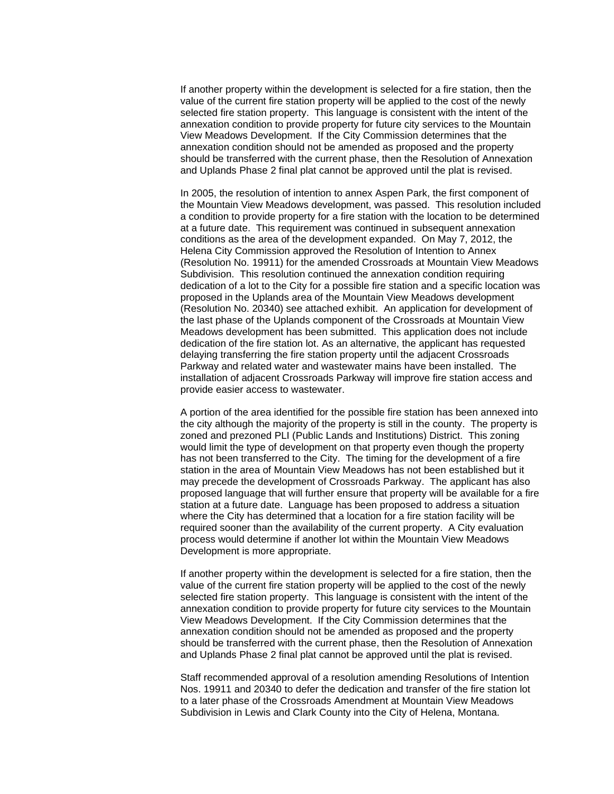If another property within the development is selected for a fire station, then the value of the current fire station property will be applied to the cost of the newly selected fire station property. This language is consistent with the intent of the annexation condition to provide property for future city services to the Mountain View Meadows Development. If the City Commission determines that the annexation condition should not be amended as proposed and the property should be transferred with the current phase, then the Resolution of Annexation and Uplands Phase 2 final plat cannot be approved until the plat is revised.

In 2005, the resolution of intention to annex Aspen Park, the first component of the Mountain View Meadows development, was passed. This resolution included a condition to provide property for a fire station with the location to be determined at a future date. This requirement was continued in subsequent annexation conditions as the area of the development expanded. On May 7, 2012, the Helena City Commission approved the Resolution of Intention to Annex (Resolution No. 19911) for the amended Crossroads at Mountain View Meadows Subdivision. This resolution continued the annexation condition requiring dedication of a lot to the City for a possible fire station and a specific location was proposed in the Uplands area of the Mountain View Meadows development (Resolution No. 20340) see attached exhibit. An application for development of the last phase of the Uplands component of the Crossroads at Mountain View Meadows development has been submitted. This application does not include dedication of the fire station lot. As an alternative, the applicant has requested delaying transferring the fire station property until the adjacent Crossroads Parkway and related water and wastewater mains have been installed. The installation of adjacent Crossroads Parkway will improve fire station access and provide easier access to wastewater.

A portion of the area identified for the possible fire station has been annexed into the city although the majority of the property is still in the county. The property is zoned and prezoned PLI (Public Lands and Institutions) District. This zoning would limit the type of development on that property even though the property has not been transferred to the City. The timing for the development of a fire station in the area of Mountain View Meadows has not been established but it may precede the development of Crossroads Parkway. The applicant has also proposed language that will further ensure that property will be available for a fire station at a future date. Language has been proposed to address a situation where the City has determined that a location for a fire station facility will be required sooner than the availability of the current property. A City evaluation process would determine if another lot within the Mountain View Meadows Development is more appropriate.

If another property within the development is selected for a fire station, then the value of the current fire station property will be applied to the cost of the newly selected fire station property. This language is consistent with the intent of the annexation condition to provide property for future city services to the Mountain View Meadows Development. If the City Commission determines that the annexation condition should not be amended as proposed and the property should be transferred with the current phase, then the Resolution of Annexation and Uplands Phase 2 final plat cannot be approved until the plat is revised.

Staff recommended approval of a resolution amending Resolutions of Intention Nos. 19911 and 20340 to defer the dedication and transfer of the fire station lot to a later phase of the Crossroads Amendment at Mountain View Meadows Subdivision in Lewis and Clark County into the City of Helena, Montana.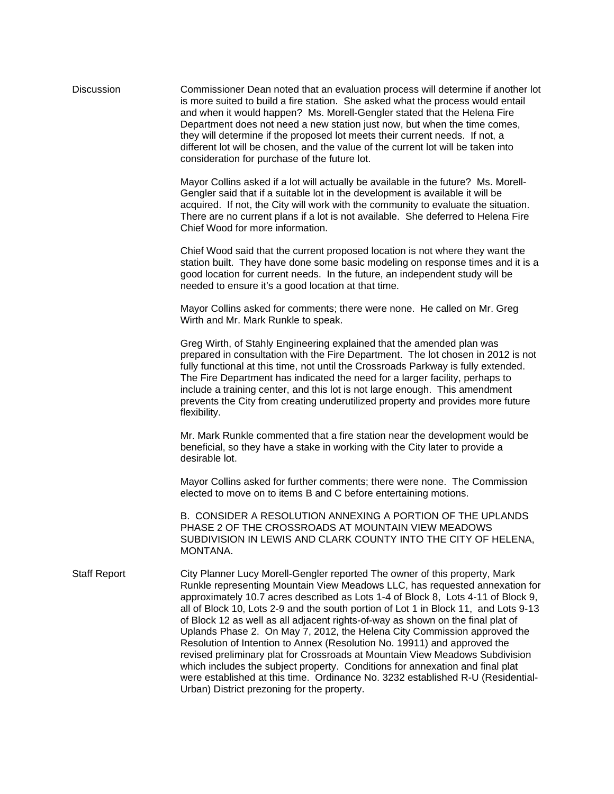| <b>Discussion</b>   | Commissioner Dean noted that an evaluation process will determine if another lot<br>is more suited to build a fire station. She asked what the process would entail<br>and when it would happen? Ms. Morell-Gengler stated that the Helena Fire<br>Department does not need a new station just now, but when the time comes,<br>they will determine if the proposed lot meets their current needs. If not, a<br>different lot will be chosen, and the value of the current lot will be taken into<br>consideration for purchase of the future lot.                                                                                                                                                                                                                                                                                                                                 |
|---------------------|------------------------------------------------------------------------------------------------------------------------------------------------------------------------------------------------------------------------------------------------------------------------------------------------------------------------------------------------------------------------------------------------------------------------------------------------------------------------------------------------------------------------------------------------------------------------------------------------------------------------------------------------------------------------------------------------------------------------------------------------------------------------------------------------------------------------------------------------------------------------------------|
|                     | Mayor Collins asked if a lot will actually be available in the future? Ms. Morell-<br>Gengler said that if a suitable lot in the development is available it will be<br>acquired. If not, the City will work with the community to evaluate the situation.<br>There are no current plans if a lot is not available. She deferred to Helena Fire<br>Chief Wood for more information.                                                                                                                                                                                                                                                                                                                                                                                                                                                                                                |
|                     | Chief Wood said that the current proposed location is not where they want the<br>station built. They have done some basic modeling on response times and it is a<br>good location for current needs. In the future, an independent study will be<br>needed to ensure it's a good location at that time.                                                                                                                                                                                                                                                                                                                                                                                                                                                                                                                                                                            |
|                     | Mayor Collins asked for comments; there were none. He called on Mr. Greg<br>Wirth and Mr. Mark Runkle to speak.                                                                                                                                                                                                                                                                                                                                                                                                                                                                                                                                                                                                                                                                                                                                                                    |
|                     | Greg Wirth, of Stahly Engineering explained that the amended plan was<br>prepared in consultation with the Fire Department. The lot chosen in 2012 is not<br>fully functional at this time, not until the Crossroads Parkway is fully extended.<br>The Fire Department has indicated the need for a larger facility, perhaps to<br>include a training center, and this lot is not large enough. This amendment<br>prevents the City from creating underutilized property and provides more future<br>flexibility.                                                                                                                                                                                                                                                                                                                                                                  |
|                     | Mr. Mark Runkle commented that a fire station near the development would be<br>beneficial, so they have a stake in working with the City later to provide a<br>desirable lot.                                                                                                                                                                                                                                                                                                                                                                                                                                                                                                                                                                                                                                                                                                      |
|                     | Mayor Collins asked for further comments; there were none. The Commission<br>elected to move on to items B and C before entertaining motions.                                                                                                                                                                                                                                                                                                                                                                                                                                                                                                                                                                                                                                                                                                                                      |
|                     | B. CONSIDER A RESOLUTION ANNEXING A PORTION OF THE UPLANDS<br>PHASE 2 OF THE CROSSROADS AT MOUNTAIN VIEW MEADOWS<br>SUBDIVISION IN LEWIS AND CLARK COUNTY INTO THE CITY OF HELENA,<br>MONTANA.                                                                                                                                                                                                                                                                                                                                                                                                                                                                                                                                                                                                                                                                                     |
| <b>Staff Report</b> | City Planner Lucy Morell-Gengler reported The owner of this property, Mark<br>Runkle representing Mountain View Meadows LLC, has requested annexation for<br>approximately 10.7 acres described as Lots 1-4 of Block 8, Lots 4-11 of Block 9,<br>all of Block 10, Lots 2-9 and the south portion of Lot 1 in Block 11, and Lots 9-13<br>of Block 12 as well as all adjacent rights-of-way as shown on the final plat of<br>Uplands Phase 2. On May 7, 2012, the Helena City Commission approved the<br>Resolution of Intention to Annex (Resolution No. 19911) and approved the<br>revised preliminary plat for Crossroads at Mountain View Meadows Subdivision<br>which includes the subject property. Conditions for annexation and final plat<br>were established at this time. Ordinance No. 3232 established R-U (Residential-<br>Urban) District prezoning for the property. |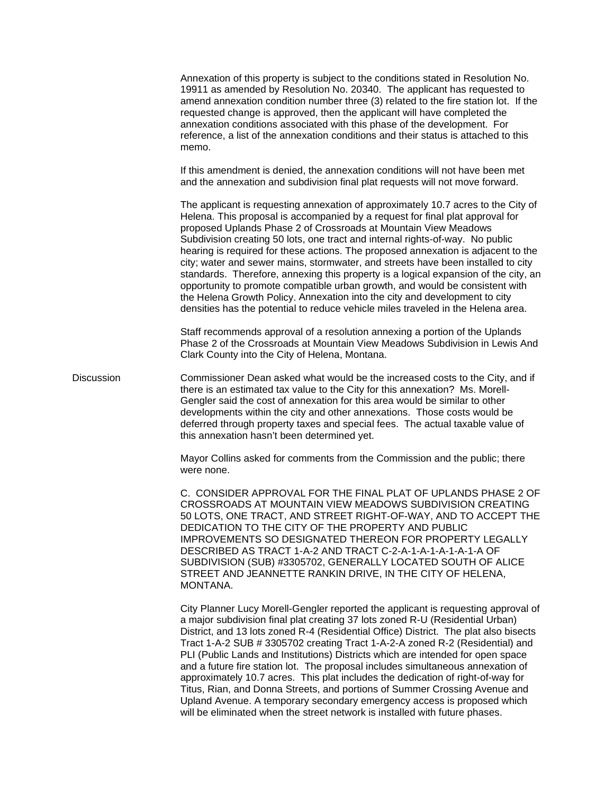Annexation of this property is subject to the conditions stated in Resolution No. 19911 as amended by Resolution No. 20340. The applicant has requested to amend annexation condition number three (3) related to the fire station lot. If the requested change is approved, then the applicant will have completed the annexation conditions associated with this phase of the development. For reference, a list of the annexation conditions and their status is attached to this memo. If this amendment is denied, the annexation conditions will not have been met and the annexation and subdivision final plat requests will not move forward. The applicant is requesting annexation of approximately 10.7 acres to the City of Helena. This proposal is accompanied by a request for final plat approval for proposed Uplands Phase 2 of Crossroads at Mountain View Meadows Subdivision creating 50 lots, one tract and internal rights-of-way. No public hearing is required for these actions. The proposed annexation is adjacent to the city; water and sewer mains, stormwater, and streets have been installed to city standards. Therefore, annexing this property is a logical expansion of the city, an opportunity to promote compatible urban growth, and would be consistent with the Helena Growth Policy. Annexation into the city and development to city densities has the potential to reduce vehicle miles traveled in the Helena area. Staff recommends approval of a resolution annexing a portion of the Uplands Phase 2 of the Crossroads at Mountain View Meadows Subdivision in Lewis And Clark County into the City of Helena, Montana. Discussion Commissioner Dean asked what would be the increased costs to the City, and if there is an estimated tax value to the City for this annexation? Ms. Morell-Gengler said the cost of annexation for this area would be similar to other developments within the city and other annexations. Those costs would be deferred through property taxes and special fees. The actual taxable value of this annexation hasn't been determined yet. Mayor Collins asked for comments from the Commission and the public; there were none. C. [CONSIDER APPROVAL FOR THE FINAL PLAT OF UPLANDS PHASE 2 OF](https://helena.novusagenda.com/agendapublic/CoverSheet.aspx?ItemID=4361&MeetingID=298)  [CROSSROADS AT MOUNTAIN VIEW MEADOWS SUBDIVISION CREATING](https://helena.novusagenda.com/agendapublic/CoverSheet.aspx?ItemID=4361&MeetingID=298)  [50 LOTS, ONE TRACT, AND STREET RIGHT-OF-WAY, AND TO ACCEPT THE](https://helena.novusagenda.com/agendapublic/CoverSheet.aspx?ItemID=4361&MeetingID=298)  [DEDICATION TO THE CITY OF THE PROPERTY AND PUBLIC](https://helena.novusagenda.com/agendapublic/CoverSheet.aspx?ItemID=4361&MeetingID=298)  [IMPROVEMENTS SO DESIGNATED THEREON FOR PROPERTY LEGALLY](https://helena.novusagenda.com/agendapublic/CoverSheet.aspx?ItemID=4361&MeetingID=298)  [DESCRIBED AS TRACT 1-A-2 AND TRACT C-2-A-1-A-1-A-1-A-1-A OF](https://helena.novusagenda.com/agendapublic/CoverSheet.aspx?ItemID=4361&MeetingID=298)  [SUBDIVISION \(SUB\) #3305702, GENERALLY LOCATED SOUTH OF ALICE](https://helena.novusagenda.com/agendapublic/CoverSheet.aspx?ItemID=4361&MeetingID=298)  [STREET AND JEANNETTE RANKIN DRIVE, IN THE CITY OF HELENA,](https://helena.novusagenda.com/agendapublic/CoverSheet.aspx?ItemID=4361&MeetingID=298)  [MONTANA.](https://helena.novusagenda.com/agendapublic/CoverSheet.aspx?ItemID=4361&MeetingID=298) City Planner Lucy Morell-Gengler reported the applicant is requesting approval of a major subdivision final plat creating 37 lots zoned R-U (Residential Urban) District, and 13 lots zoned R-4 (Residential Office) District. The plat also bisects Tract 1-A-2 SUB # 3305702 creating Tract 1-A-2-A zoned R-2 (Residential) and PLI (Public Lands and Institutions) Districts which are intended for open space and a future fire station lot. The proposal includes simultaneous annexation of approximately 10.7 acres. This plat includes the dedication of right-of-way for Titus, Rian, and Donna Streets, and portions of Summer Crossing Avenue and Upland Avenue. A temporary secondary emergency access is proposed which

will be eliminated when the street network is installed with future phases.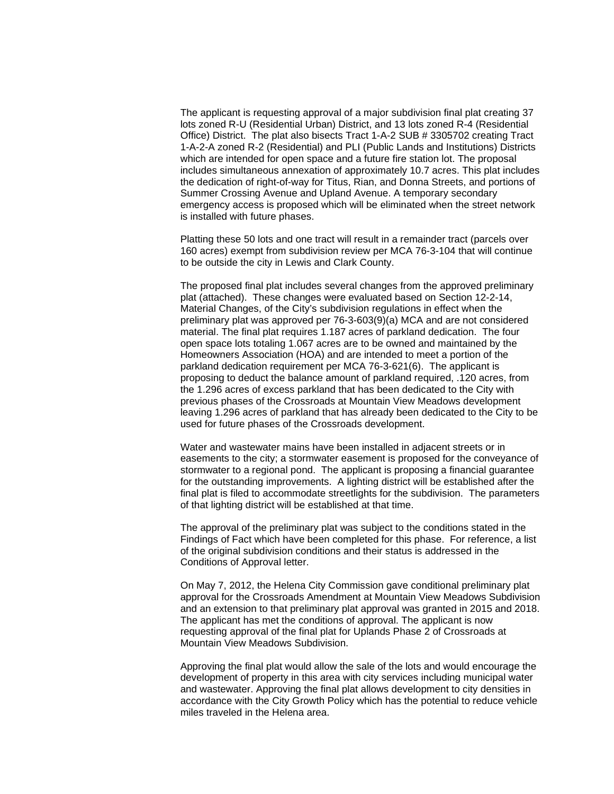The applicant is requesting approval of a major subdivision final plat creating 37 lots zoned R-U (Residential Urban) District, and 13 lots zoned R-4 (Residential Office) District. The plat also bisects Tract 1-A-2 SUB # 3305702 creating Tract 1-A-2-A zoned R-2 (Residential) and PLI (Public Lands and Institutions) Districts which are intended for open space and a future fire station lot. The proposal includes simultaneous annexation of approximately 10.7 acres. This plat includes the dedication of right-of-way for Titus, Rian, and Donna Streets, and portions of Summer Crossing Avenue and Upland Avenue. A temporary secondary emergency access is proposed which will be eliminated when the street network is installed with future phases.

Platting these 50 lots and one tract will result in a remainder tract (parcels over 160 acres) exempt from subdivision review per MCA 76-3-104 that will continue to be outside the city in Lewis and Clark County.

The proposed final plat includes several changes from the approved preliminary plat (attached). These changes were evaluated based on Section 12-2-14, Material Changes, of the City's subdivision regulations in effect when the preliminary plat was approved per 76-3-603(9)(a) MCA and are not considered material. The final plat requires 1.187 acres of parkland dedication. The four open space lots totaling 1.067 acres are to be owned and maintained by the Homeowners Association (HOA) and are intended to meet a portion of the parkland dedication requirement per MCA 76-3-621(6). The applicant is proposing to deduct the balance amount of parkland required, .120 acres, from the 1.296 acres of excess parkland that has been dedicated to the City with previous phases of the Crossroads at Mountain View Meadows development leaving 1.296 acres of parkland that has already been dedicated to the City to be used for future phases of the Crossroads development.

Water and wastewater mains have been installed in adjacent streets or in easements to the city; a stormwater easement is proposed for the conveyance of stormwater to a regional pond. The applicant is proposing a financial guarantee for the outstanding improvements. A lighting district will be established after the final plat is filed to accommodate streetlights for the subdivision. The parameters of that lighting district will be established at that time.

The approval of the preliminary plat was subject to the conditions stated in the Findings of Fact which have been completed for this phase. For reference, a list of the original subdivision conditions and their status is addressed in the Conditions of Approval letter.

On May 7, 2012, the Helena City Commission gave conditional preliminary plat approval for the Crossroads Amendment at Mountain View Meadows Subdivision and an extension to that preliminary plat approval was granted in 2015 and 2018. The applicant has met the conditions of approval. The applicant is now requesting approval of the final plat for Uplands Phase 2 of Crossroads at Mountain View Meadows Subdivision.

Approving the final plat would allow the sale of the lots and would encourage the development of property in this area with city services including municipal water and wastewater. Approving the final plat allows development to city densities in accordance with the City Growth Policy which has the potential to reduce vehicle miles traveled in the Helena area.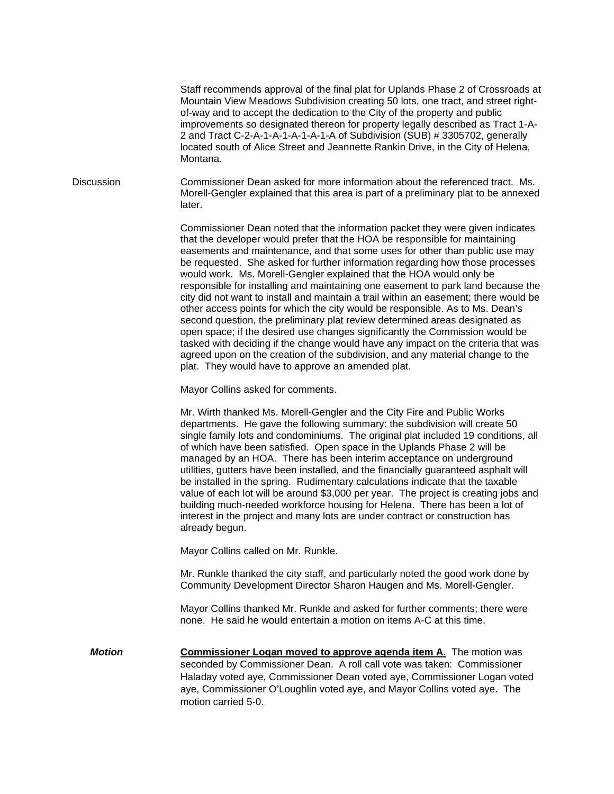Staff recommends approval of the final plat for Uplands Phase 2 of Crossroads at Mountain View Meadows Subdivision creating 50 lots, one tract, and street rightof-way and to accept the dedication to the City of the property and public improvements so designated thereon for property legally described as Tract 1-A-2 and Tract C-2-A-1-A-1-A-1-A-1-A of Subdivision (SUB) # 3305702, generally located south of Alice Street and Jeannette Rankin Drive, in the City of Helena, Montana.

Discussion Commissioner Dean asked for more information about the referenced tract. Ms. Morell-Gengler explained that this area is part of a preliminary plat to be annexed later.

> Commissioner Dean noted that the information packet they were given indicates that the developer would prefer that the HOA be responsible for maintaining easements and maintenance, and that some uses for other than public use may be requested. She asked for further information regarding how those processes would work. Ms. Morell-Gengler explained that the HOA would only be responsible for installing and maintaining one easement to park land because the city did not want to install and maintain a trail within an easement; there would be other access points for which the city would be responsible. As to Ms. Dean's second question, the preliminary plat review determined areas designated as open space; if the desired use changes significantly the Commission would be tasked with deciding if the change would have any impact on the criteria that was agreed upon on the creation of the subdivision, and any material change to the plat. They would have to approve an amended plat.

Mayor Collins asked for comments.

Mr. Wirth thanked Ms. Morell-Gengler and the City Fire and Public Works departments. He gave the following summary: the subdivision will create 50 single family lots and condominiums. The original plat included 19 conditions, all of which have been satisfied. Open space in the Uplands Phase 2 will be managed by an HOA. There has been interim acceptance on underground utilities, gutters have been installed, and the financially guaranteed asphalt will be installed in the spring. Rudimentary calculations indicate that the taxable value of each lot will be around \$3,000 per year. The project is creating jobs and building much-needed workforce housing for Helena. There has been a lot of interest in the project and many lots are under contract or construction has already begun.

Mayor Collins called on Mr. Runkle.

Mr. Runkle thanked the city staff, and particularly noted the good work done by Community Development Director Sharon Haugen and Ms. Morell-Gengler.

Mayor Collins thanked Mr. Runkle and asked for further comments; there were none. He said he would entertain a motion on items A-C at this time.

*Motion* **<b>Commissioner Logan moved to approve agenda item A.** The motion was seconded by Commissioner Dean. A roll call vote was taken: Commissioner Haladay voted aye, Commissioner Dean voted aye, Commissioner Logan voted aye, Commissioner O'Loughlin voted aye, and Mayor Collins voted aye. The motion carried 5-0.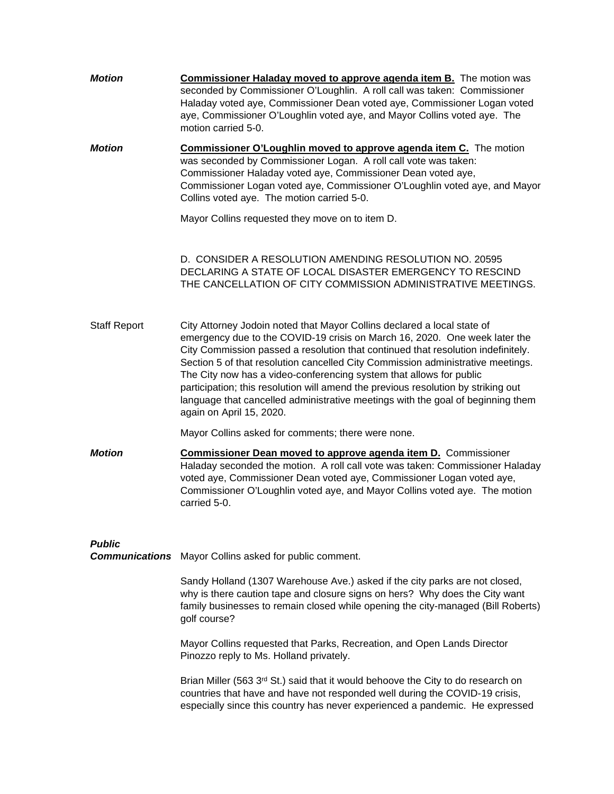*Motion* **Commissioner Haladay moved to approve agenda item B.** The motion was seconded by Commissioner O'Loughlin. A roll call was taken: Commissioner Haladay voted aye, Commissioner Dean voted aye, Commissioner Logan voted aye, Commissioner O'Loughlin voted aye, and Mayor Collins voted aye. The motion carried 5-0. *Motion* **Commissioner O'Loughlin moved to approve agenda item C.** The motion was seconded by Commissioner Logan. A roll call vote was taken: Commissioner Haladay voted aye, Commissioner Dean voted aye, Commissioner Logan voted aye, Commissioner O'Loughlin voted aye, and Mayor Collins voted aye. The motion carried 5-0. Mayor Collins requested they move on to item D. D. [CONSIDER A RESOLUTION AMENDING RESOLUTION NO. 20595](https://helena.novusagenda.com/agendapublic/CoverSheet.aspx?ItemID=4590&MeetingID=298)  [DECLARING A STATE OF LOCAL DISASTER EMERGENCY TO RESCIND](https://helena.novusagenda.com/agendapublic/CoverSheet.aspx?ItemID=4590&MeetingID=298)  [THE CANCELLATION OF CITY COMMISSION ADMINISTRATIVE MEETINGS.](https://helena.novusagenda.com/agendapublic/CoverSheet.aspx?ItemID=4590&MeetingID=298) Staff Report City Attorney Jodoin noted that Mayor Collins declared a local state of emergency due to the COVID-19 crisis on March 16, 2020. One week later the City Commission passed a resolution that continued that resolution indefinitely. Section 5 of that resolution cancelled City Commission administrative meetings. The City now has a video-conferencing system that allows for public participation; this resolution will amend the previous resolution by striking out language that cancelled administrative meetings with the goal of beginning them again on April 15, 2020. Mayor Collins asked for comments; there were none. *Motion* **Commissioner Dean moved to approve agenda item D.** Commissioner Haladay seconded the motion. A roll call vote was taken: Commissioner Haladay voted aye, Commissioner Dean voted aye, Commissioner Logan voted aye, Commissioner O'Loughlin voted aye, and Mayor Collins voted aye. The motion carried 5-0. *Public Communications* Mayor Collins asked for public comment. Sandy Holland (1307 Warehouse Ave.) asked if the city parks are not closed, why is there caution tape and closure signs on hers? Why does the City want family businesses to remain closed while opening the city-managed (Bill Roberts) golf course? Mayor Collins requested that Parks, Recreation, and Open Lands Director Pinozzo reply to Ms. Holland privately.

> Brian Miller (563 3rd St.) said that it would behoove the City to do research on countries that have and have not responded well during the COVID-19 crisis, especially since this country has never experienced a pandemic. He expressed